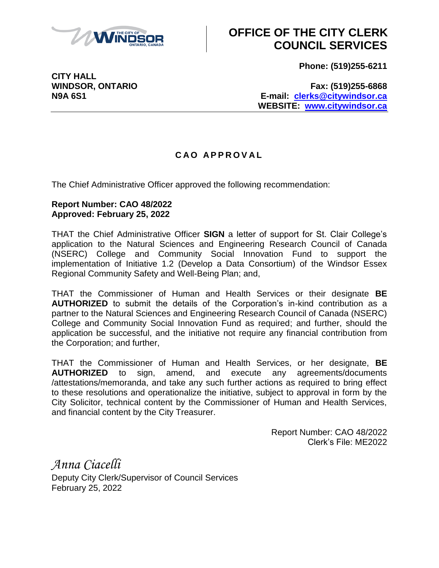

## **OFFICE OF THE CITY CLERK COUNCIL SERVICES**

**Phone: (519)255-6211**

**CITY HALL**

**WINDSOR, ONTARIO Fax: (519)255-6868 N9A 6S1 E-mail: [clerks@citywindsor.ca](mailto:clerks@citywindsor.ca) WEBSITE: [www.citywindsor.ca](http://www.citywindsor.ca/)**

## **C A O A P P R O V A L**

The Chief Administrative Officer approved the following recommendation:

## **Report Number: CAO 48/2022 Approved: February 25, 2022**

THAT the Chief Administrative Officer **SIGN** a letter of support for St. Clair College's application to the Natural Sciences and Engineering Research Council of Canada (NSERC) College and Community Social Innovation Fund to support the implementation of Initiative 1.2 (Develop a Data Consortium) of the Windsor Essex Regional Community Safety and Well-Being Plan; and,

THAT the Commissioner of Human and Health Services or their designate **BE AUTHORIZED** to submit the details of the Corporation's in-kind contribution as a partner to the Natural Sciences and Engineering Research Council of Canada (NSERC) College and Community Social Innovation Fund as required; and further, should the application be successful, and the initiative not require any financial contribution from the Corporation; and further,

THAT the Commissioner of Human and Health Services, or her designate, **BE AUTHORIZED** to sign, amend, and execute any agreements/documents /attestations/memoranda, and take any such further actions as required to bring effect to these resolutions and operationalize the initiative, subject to approval in form by the City Solicitor, technical content by the Commissioner of Human and Health Services, and financial content by the City Treasurer.

> Report Number: CAO 48/2022 Clerk's File: ME2022

*Anna Ciacelli* Deputy City Clerk/Supervisor of Council Services February 25, 2022